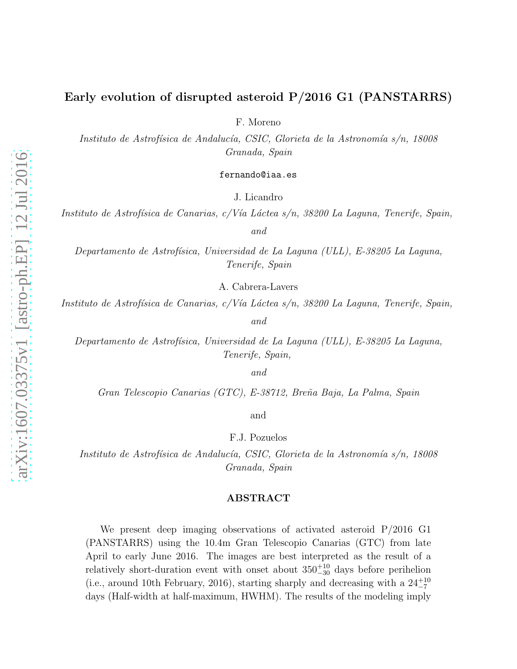# Early evolution of disrupted asteroid P/2016 G1 (PANSTARRS)

F. Moreno

Instituto de Astrofísica de Andalucía, CSIC, Glorieta de la Astronomía s/n, 18008 Granada, Spain

fernando@iaa.es

J. Licandro

Instituto de Astrofísica de Canarias, c/Vía Láctea s/n, 38200 La Laguna, Tenerife, Spain, and

Departamento de Astrofísica, Universidad de La Laguna (ULL), E-38205 La Laguna, Tenerife, Spain

A. Cabrera-Lavers

Instituto de Astrofísica de Canarias, c/Vía Láctea s/n, 38200 La Laguna, Tenerife, Spain,

and

Departamento de Astrofísica, Universidad de La Laguna (ULL), E-38205 La Laguna, Tenerife, Spain,

and

Gran Telescopio Canarias (GTC), E-38712, Bre˜na Baja, La Palma, Spain

and

F.J. Pozuelos

Instituto de Astrofísica de Andalucía, CSIC, Glorieta de la Astronomía s/n, 18008 Granada, Spain

## ABSTRACT

We present deep imaging observations of activated asteroid P/2016 G1 (PANSTARRS) using the 10.4m Gran Telescopio Canarias (GTC) from late April to early June 2016. The images are best interpreted as the result of a relatively short-duration event with onset about  $350^{+10}_{-30}$  days before perihelion (i.e., around 10th February, 2016), starting sharply and decreasing with a  $24^{+10}_{-7}$ days (Half-width at half-maximum, HWHM). The results of the modeling imply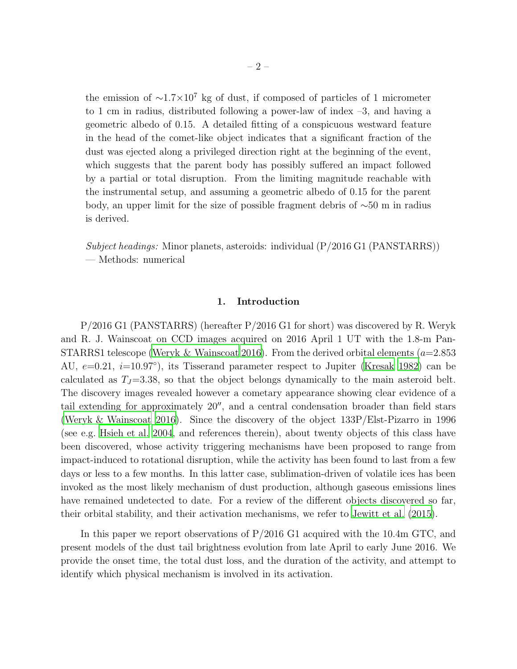the emission of  $\sim$ 1.7×10<sup>7</sup> kg of dust, if composed of particles of 1 micrometer to 1 cm in radius, distributed following a power-law of index  $-3$ , and having a geometric albedo of 0.15. A detailed fitting of a conspicuous westward feature in the head of the comet-like object indicates that a significant fraction of the dust was ejected along a privileged direction right at the beginning of the event, which suggests that the parent body has possibly suffered an impact followed by a partial or total disruption. From the limiting magnitude reachable with the instrumental setup, and assuming a geometric albedo of 0.15 for the parent body, an upper limit for the size of possible fragment debris of ∼50 m in radius is derived.

Subject headings: Minor planets, asteroids: individual  $(P/2016 \text{ G1} (PANSTARRS))$ — Methods: numerical

## 1. Introduction

P/2016 G1 (PANSTARRS) (hereafter P/2016 G1 for short) was discovered by R. Weryk and R. J. Wainscoat on CCD images acquired on 2016 April 1 UT with the 1.8-m Pan-STARRS1 telescope [\(Weryk & Wainscoat 2016](#page-8-0)). From the derived orbital elements  $(a=2.853)$ AU,  $e=0.21$ ,  $i=10.97°$ ), its Tisserand parameter respect to Jupiter [\(Kresak 1982\)](#page-8-1) can be calculated as  $T_J=3.38$ , so that the object belongs dynamically to the main asteroid belt. The discovery images revealed however a cometary appearance showing clear evidence of a tail extending for approximately 20′′, and a central condensation broader than field stars [\(Weryk & Wainscoat 2016\)](#page-8-0). Since the discovery of the object 133P/Elst-Pizarro in 1996 (see e.g. [Hsieh et al. 2004](#page-8-2), and references therein), about twenty objects of this class have been discovered, whose activity triggering mechanisms have been proposed to range from impact-induced to rotational disruption, while the activity has been found to last from a few days or less to a few months. In this latter case, sublimation-driven of volatile ices has been invoked as the most likely mechanism of dust production, although gaseous emissions lines have remained undetected to date. For a review of the different objects discovered so far, their orbital stability, and their activation mechanisms, we refer to [Jewitt et al. \(2015\)](#page-8-3).

In this paper we report observations of P/2016 G1 acquired with the 10.4m GTC, and present models of the dust tail brightness evolution from late April to early June 2016. We provide the onset time, the total dust loss, and the duration of the activity, and attempt to identify which physical mechanism is involved in its activation.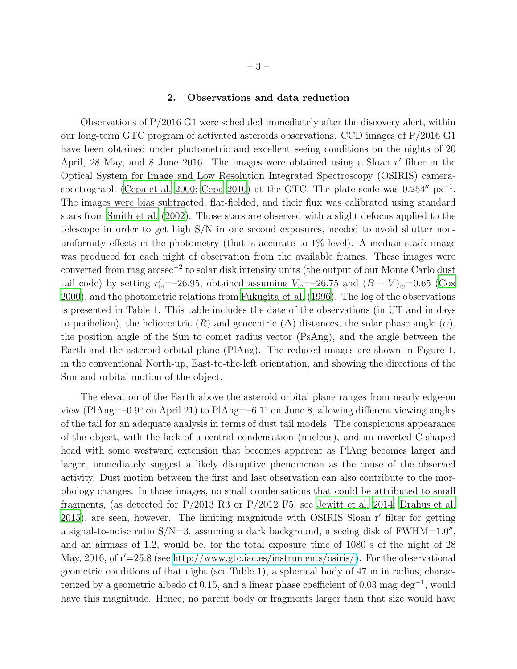#### 2. Observations and data reduction

Observations of P/2016 G1 were scheduled immediately after the discovery alert, within our long-term GTC program of activated asteroids observations. CCD images of P/2016 G1 have been obtained under photometric and excellent seeing conditions on the nights of 20 April, 28 May, and 8 June 2016. The images were obtained using a Sloan r' filter in the Optical System for Image and Low Resolution Integrated Spectroscopy (OSIRIS) camera-spectrograph [\(Cepa et al. 2000;](#page-7-0) [Cepa 2010\)](#page-7-1) at the GTC. The plate scale was  $0.254''$  px<sup>-1</sup>. The images were bias subtracted, flat-fielded, and their flux was calibrated using standard stars from [Smith et al. \(2002](#page-8-4)). Those stars are observed with a slight defocus applied to the telescope in order to get high S/N in one second exposures, needed to avoid shutter nonuniformity effects in the photometry (that is accurate to  $1\%$  level). A median stack image was produced for each night of observation from the available frames. These images were converted from mag arcsec<sup>−</sup><sup>2</sup> to solar disk intensity units (the output of our Monte Carlo dust tail code) by setting  $r'_{\odot}$ =-26.95, obtained assuming  $V_{\odot}$ =-26.75 and  $(B - V)_{\odot}$ =0.65 [\(Cox](#page-7-2) [2000\)](#page-7-2), and the photometric relations from [Fukugita et al. \(1996\)](#page-7-3). The log of the observations is presented in Table 1. This table includes the date of the observations (in UT and in days to perihelion), the heliocentric  $(R)$  and geocentric  $(\Delta)$  distances, the solar phase angle  $(\alpha)$ , the position angle of the Sun to comet radius vector (PsAng), and the angle between the Earth and the asteroid orbital plane (PlAng). The reduced images are shown in Figure 1, in the conventional North-up, East-to-the-left orientation, and showing the directions of the Sun and orbital motion of the object.

The elevation of the Earth above the asteroid orbital plane ranges from nearly edge-on view (PlAng=–0.9◦ on April 21) to PlAng=–6.1◦ on June 8, allowing different viewing angles of the tail for an adequate analysis in terms of dust tail models. The conspicuous appearance of the object, with the lack of a central condensation (nucleus), and an inverted-C-shaped head with some westward extension that becomes apparent as PlAng becomes larger and larger, immediately suggest a likely disruptive phenomenon as the cause of the observed activity. Dust motion between the first and last observation can also contribute to the morphology changes. In those images, no small condensations that could be attributed to small fragments, (as detected for P/2013 R3 or P/2012 F5, see [Jewitt](#page-8-5) et al. [2014;](#page-8-5) [Drahus et al.](#page-7-4) [2015\)](#page-7-4), are seen, however. The limiting magnitude with OSIRIS Sloan r′ filter for getting a signal-to-noise ratio  $S/N=3$ , assuming a dark background, a seeing disk of  $FWHM=1.0''$ , and an airmass of 1.2, would be, for the total exposure time of 1080 s of the night of 28 May, 2016, of  $r'=25.8$  (see [http://www.gtc.iac.es/instruments/osiris/\)](http://www.gtc.iac.es/instruments/osiris/). For the observational geometric conditions of that night (see Table 1), a spherical body of 47 m in radius, characterized by a geometric albedo of 0.15, and a linear phase coefficient of 0.03 mag  $\text{deg}^{-1}$ , would have this magnitude. Hence, no parent body or fragments larger than that size would have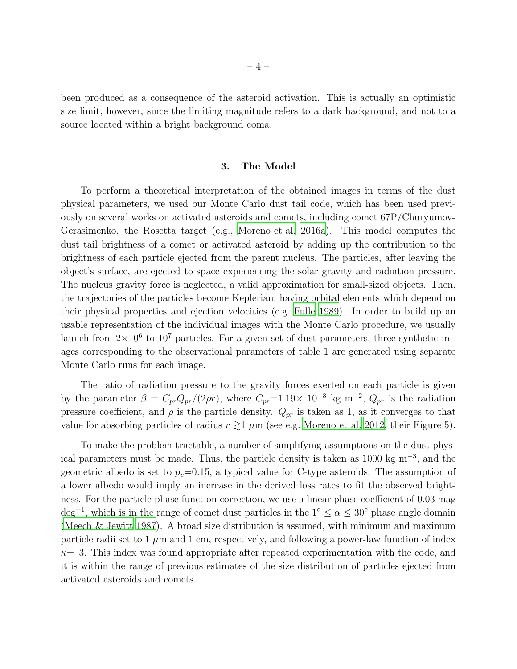been produced as a consequence of the asteroid activation. This is actually an optimistic size limit, however, since the limiting magnitude refers to a dark background, and not to a source located within a bright background coma.

#### 3. The Model

To perform a theoretical interpretation of the obtained images in terms of the dust physical parameters, we used our Monte Carlo dust tail code, which has been used previously on several works on activated asteroids and comets, including comet 67P/Churyumov-Gerasimenko, the Rosetta target (e.g., [Moreno et al. 2016a\)](#page-8-6). This model computes the dust tail brightness of a comet or activated asteroid by adding up the contribution to the brightness of each particle ejected from the parent nucleus. The particles, after leaving the object's surface, are ejected to space experiencing the solar gravity and radiation pressure. The nucleus gravity force is neglected, a valid approximation for small-sized objects. Then, the trajectories of the particles become Keplerian, having orbital elements which depend on their physical properties and ejection velocities (e.g. [Fulle 1989\)](#page-7-5). In order to build up an usable representation of the individual images with the Monte Carlo procedure, we usually launch from  $2\times10^6$  to  $10^7$  particles. For a given set of dust parameters, three synthetic images corresponding to the observational parameters of table 1 are generated using separate Monte Carlo runs for each image.

The ratio of radiation pressure to the gravity forces exerted on each particle is given by the parameter  $\beta = C_{pr} Q_{pr} / (2\rho r)$ , where  $C_{pr} = 1.19 \times 10^{-3}$  kg m<sup>-2</sup>,  $Q_{pr}$  is the radiation pressure coefficient, and  $\rho$  is the particle density.  $Q_{pr}$  is taken as 1, as it converges to that value for absorbing particles of radius  $r \gtrsim 1 \mu m$  (see e.g. [Moreno et al. 2012](#page-8-7), their Figure 5).

To make the problem tractable, a number of simplifying assumptions on the dust physical parameters must be made. Thus, the particle density is taken as 1000 kg m<sup>−</sup><sup>3</sup> , and the geometric albedo is set to  $p_v=0.15$ , a typical value for C-type asteroids. The assumption of a lower albedo would imply an increase in the derived loss rates to fit the observed brightness. For the particle phase function correction, we use a linear phase coefficient of 0.03 mag  $\text{deg}^{-1}$ , which is in the range of comet dust particles in the  $1° \leq \alpha \leq 30°$  phase angle domain [\(Meech & Jewitt 1987\)](#page-8-8). A broad size distribution is assumed, with minimum and maximum particle radii set to 1  $\mu$ m and 1 cm, respectively, and following a power-law function of index  $\kappa$ =–3. This index was found appropriate after repeated experimentation with the code, and it is within the range of previous estimates of the size distribution of particles ejected from activated asteroids and comets.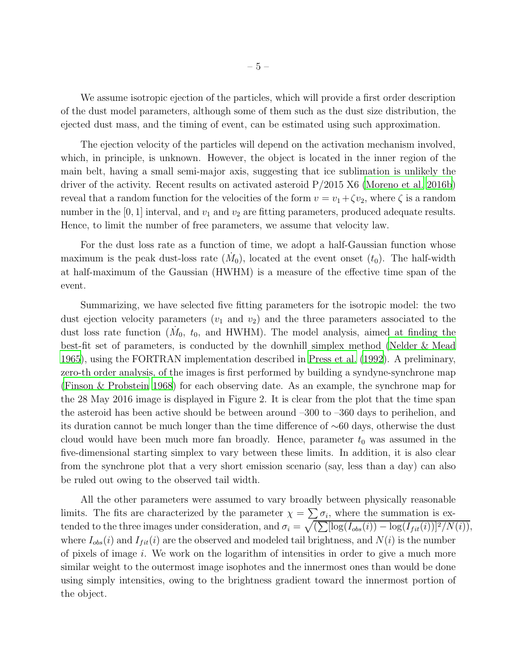We assume isotropic ejection of the particles, which will provide a first order description of the dust model parameters, although some of them such as the dust size distribution, the ejected dust mass, and the timing of event, can be estimated using such approximation.

The ejection velocity of the particles will depend on the activation mechanism involved, which, in principle, is unknown. However, the object is located in the inner region of the main belt, having a small semi-major axis, suggesting that ice sublimation is unlikely the driver of the activity. Recent results on activated asteroid P/2015 X6 [\(Moreno et al. 2016b\)](#page-8-9) reveal that a random function for the velocities of the form  $v = v_1 + \zeta v_2$ , where  $\zeta$  is a random number in the [0, 1] interval, and  $v_1$  and  $v_2$  are fitting parameters, produced adequate results. Hence, to limit the number of free parameters, we assume that velocity law.

For the dust loss rate as a function of time, we adopt a half-Gaussian function whose maximum is the peak dust-loss rate  $(M_0)$ , located at the event onset  $(t_0)$ . The half-width at half-maximum of the Gaussian (HWHM) is a measure of the effective time span of the event.

Summarizing, we have selected five fitting parameters for the isotropic model: the two dust ejection velocity parameters  $(v_1$  and  $v_2)$  and the three parameters associated to the dust loss rate function  $(M_0, t_0, t_0, t_0)$  and HWHM). The model analysis, aimed at finding the best-fit set of parameters, is conducted by the downhill simplex method [\(Nelder & Mead](#page-8-10) [1965\)](#page-8-10), using the FORTRAN implementation described in [Press et al. \(1992\)](#page-8-11). A preliminary, zero-th order analysis, of the images is first performed by building a syndyne-synchrone map [\(Finson & Probstein 1968](#page-7-6)) for each observing date. As an example, the synchrone map for the 28 May 2016 image is displayed in Figure 2. It is clear from the plot that the time span the asteroid has been active should be between around –300 to –360 days to perihelion, and its duration cannot be much longer than the time difference of ∼60 days, otherwise the dust cloud would have been much more fan broadly. Hence, parameter  $t_0$  was assumed in the five-dimensional starting simplex to vary between these limits. In addition, it is also clear from the synchrone plot that a very short emission scenario (say, less than a day) can also be ruled out owing to the observed tail width.

All the other parameters were assumed to vary broadly between physically reasonable limits. The fits are characterized by the parameter  $\chi = \sum \sigma_i$ , where the summation is extended to the three images under consideration, and  $\sigma_i = \sqrt{\left(\sum [\log(I_{obs}(i)) - \log(I_{fit}(i))]^2/N(i)\right)}$ , where  $I_{obs}(i)$  and  $I_{fit}(i)$  are the observed and modeled tail brightness, and  $N(i)$  is the number of pixels of image i. We work on the logarithm of intensities in order to give a much more similar weight to the outermost image isophotes and the innermost ones than would be done using simply intensities, owing to the brightness gradient toward the innermost portion of the object.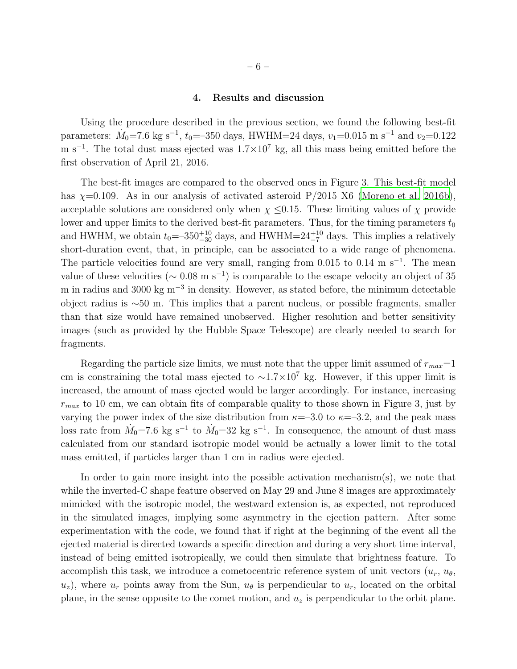#### 4. Results and discussion

Using the procedure described in the previous section, we found the following best-fit parameters:  $\dot{M}_0$ =7.6 kg s<sup>-1</sup>, t<sub>0</sub>=-350 days, HWHM=24 days, v<sub>1</sub>=0.015 m s<sup>-1</sup> and v<sub>2</sub>=0.122 m s<sup>-1</sup>. The total dust mass ejected was  $1.7 \times 10^7$  kg, all this mass being emitted before the first observation of April 21, 2016.

The best-fit images are compared to the observed ones in Figure 3. This best-fit model has  $\chi=0.109$ . As in our analysis of activated asteroid  $P/2015$  X6 [\(Moreno et al. 2016b](#page-8-9)), acceptable solutions are considered only when  $\chi \leq 0.15$ . These limiting values of  $\chi$  provide lower and upper limits to the derived best-fit parameters. Thus, for the timing parameters  $t_0$ and HWHM, we obtain  $t_0 = -350^{+10}_{-30}$  days, and HWHM= $24^{+10}_{-7}$  days. This implies a relatively short-duration event, that, in principle, can be associated to a wide range of phenomena. The particle velocities found are very small, ranging from  $0.015$  to  $0.14 \text{ m s}^{-1}$ . The mean value of these velocities ( $\sim 0.08$  m s<sup>-1</sup>) is comparable to the escape velocity an object of 35 m in radius and 3000 kg m<sup>-3</sup> in density. However, as stated before, the minimum detectable object radius is ∼50 m. This implies that a parent nucleus, or possible fragments, smaller than that size would have remained unobserved. Higher resolution and better sensitivity images (such as provided by the Hubble Space Telescope) are clearly needed to search for fragments.

Regarding the particle size limits, we must note that the upper limit assumed of  $r_{max}=1$ cm is constraining the total mass ejected to  $\sim$ 1.7×10<sup>7</sup> kg. However, if this upper limit is increased, the amount of mass ejected would be larger accordingly. For instance, increasing  $r_{max}$  to 10 cm, we can obtain fits of comparable quality to those shown in Figure 3, just by varying the power index of the size distribution from  $\kappa = -3.0$  to  $\kappa = -3.2$ , and the peak mass loss rate from  $\dot{M}_0$ =7.6 kg s<sup>-1</sup> to  $\dot{M}_0$ =32 kg s<sup>-1</sup>. In consequence, the amount of dust mass calculated from our standard isotropic model would be actually a lower limit to the total mass emitted, if particles larger than 1 cm in radius were ejected.

In order to gain more insight into the possible activation mechanism(s), we note that while the inverted-C shape feature observed on May 29 and June 8 images are approximately mimicked with the isotropic model, the westward extension is, as expected, not reproduced in the simulated images, implying some asymmetry in the ejection pattern. After some experimentation with the code, we found that if right at the beginning of the event all the ejected material is directed towards a specific direction and during a very short time interval, instead of being emitted isotropically, we could then simulate that brightness feature. To accomplish this task, we introduce a cometocentric reference system of unit vectors  $(u_r, u_\theta)$ ,  $u_z$ ), where  $u_r$  points away from the Sun,  $u_\theta$  is perpendicular to  $u_r$ , located on the orbital plane, in the sense opposite to the comet motion, and  $u<sub>z</sub>$  is perpendicular to the orbit plane.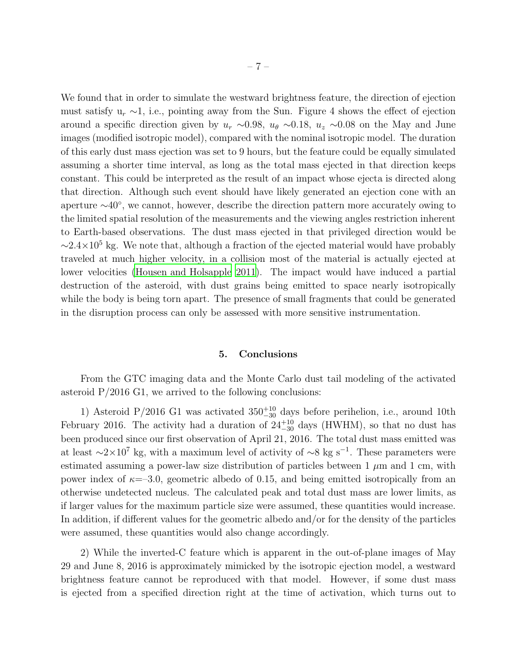We found that in order to simulate the westward brightness feature, the direction of ejection must satisfy  $u_r \sim 1$ , i.e., pointing away from the Sun. Figure 4 shows the effect of ejection around a specific direction given by  $u_r \sim 0.98$ ,  $u_\theta \sim 0.18$ ,  $u_z \sim 0.08$  on the May and June images (modified isotropic model), compared with the nominal isotropic model. The duration of this early dust mass ejection was set to 9 hours, but the feature could be equally simulated assuming a shorter time interval, as long as the total mass ejected in that direction keeps constant. This could be interpreted as the result of an impact whose ejecta is directed along that direction. Although such event should have likely generated an ejection cone with an aperture ∼40◦ , we cannot, however, describe the direction pattern more accurately owing to the limited spatial resolution of the measurements and the viewing angles restriction inherent to Earth-based observations. The dust mass ejected in that privileged direction would be  $\sim$ 2.4×10<sup>5</sup> kg. We note that, although a fraction of the ejected material would have probably traveled at much higher velocity, in a collision most of the material is actually ejected at lower velocities [\(Housen and Holsapple 2011\)](#page-8-12). The impact would have induced a partial destruction of the asteroid, with dust grains being emitted to space nearly isotropically while the body is being torn apart. The presence of small fragments that could be generated in the disruption process can only be assessed with more sensitive instrumentation.

### 5. Conclusions

From the GTC imaging data and the Monte Carlo dust tail modeling of the activated asteroid P/2016 G1, we arrived to the following conclusions:

1) Asteroid P/2016 G1 was activated  $350^{+10}_{-30}$  days before perihelion, i.e., around 10th February 2016. The activity had a duration of  $24^{+10}_{-30}$  days (HWHM), so that no dust has been produced since our first observation of April 21, 2016. The total dust mass emitted was at least  $\sim$ 2×10<sup>7</sup> kg, with a maximum level of activity of  $\sim$ 8 kg s<sup>-1</sup>. These parameters were estimated assuming a power-law size distribution of particles between 1  $\mu$ m and 1 cm, with power index of  $\kappa = -3.0$ , geometric albedo of 0.15, and being emitted isotropically from an otherwise undetected nucleus. The calculated peak and total dust mass are lower limits, as if larger values for the maximum particle size were assumed, these quantities would increase. In addition, if different values for the geometric albedo and/or for the density of the particles were assumed, these quantities would also change accordingly.

2) While the inverted-C feature which is apparent in the out-of-plane images of May 29 and June 8, 2016 is approximately mimicked by the isotropic ejection model, a westward brightness feature cannot be reproduced with that model. However, if some dust mass is ejected from a specified direction right at the time of activation, which turns out to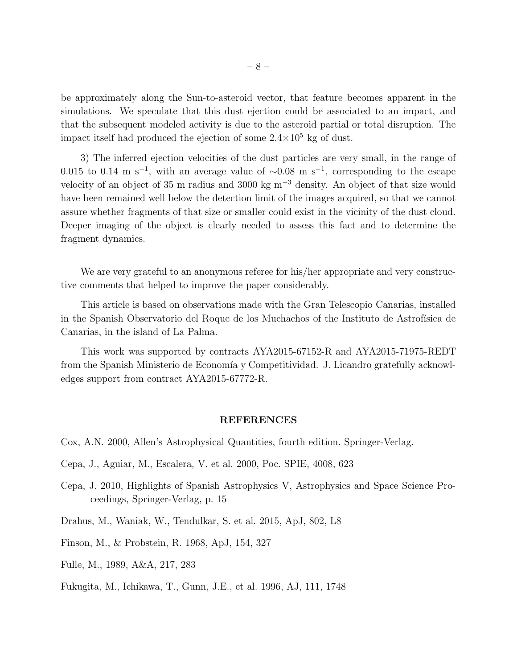be approximately along the Sun-to-asteroid vector, that feature becomes apparent in the simulations. We speculate that this dust ejection could be associated to an impact, and that the subsequent modeled activity is due to the asteroid partial or total disruption. The impact itself had produced the ejection of some  $2.4 \times 10^5$  kg of dust.

3) The inferred ejection velocities of the dust particles are very small, in the range of 0.015 to 0.14 m s<sup>-1</sup>, with an average value of  $\sim$ 0.08 m s<sup>-1</sup>, corresponding to the escape velocity of an object of 35 m radius and 3000 kg m<sup>−</sup><sup>3</sup> density. An object of that size would have been remained well below the detection limit of the images acquired, so that we cannot assure whether fragments of that size or smaller could exist in the vicinity of the dust cloud. Deeper imaging of the object is clearly needed to assess this fact and to determine the fragment dynamics.

We are very grateful to an anonymous referee for his/her appropriate and very constructive comments that helped to improve the paper considerably.

This article is based on observations made with the Gran Telescopio Canarias, installed in the Spanish Observatorio del Roque de los Muchachos of the Instituto de Astrofísica de Canarias, in the island of La Palma.

This work was supported by contracts AYA2015-67152-R and AYA2015-71975-REDT from the Spanish Ministerio de Economía y Competitividad. J. Licandro gratefully acknowledges support from contract AYA2015-67772-R.

#### REFERENCES

- <span id="page-7-2"></span>Cox, A.N. 2000, Allen's Astrophysical Quantities, fourth edition. Springer-Verlag.
- <span id="page-7-0"></span>Cepa, J., Aguiar, M., Escalera, V. et al. 2000, Poc. SPIE, 4008, 623
- <span id="page-7-1"></span>Cepa, J. 2010, Highlights of Spanish Astrophysics V, Astrophysics and Space Science Proceedings, Springer-Verlag, p. 15
- <span id="page-7-4"></span>Drahus, M., Waniak, W., Tendulkar, S. et al. 2015, ApJ, 802, L8
- <span id="page-7-6"></span>Finson, M., & Probstein, R. 1968, ApJ, 154, 327
- <span id="page-7-5"></span>Fulle, M., 1989, A&A, 217, 283

<span id="page-7-3"></span>Fukugita, M., Ichikawa, T., Gunn, J.E., et al. 1996, AJ, 111, 1748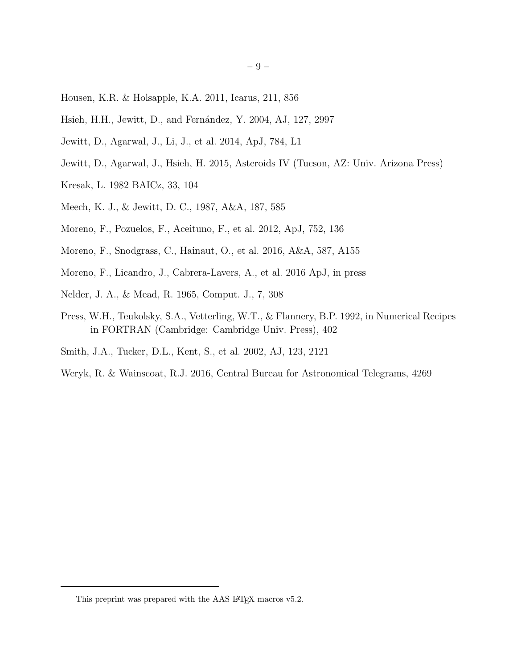- <span id="page-8-12"></span>Housen, K.R. & Holsapple, K.A. 2011, Icarus, 211, 856
- <span id="page-8-2"></span>Hsieh, H.H., Jewitt, D., and Fernández, Y. 2004, AJ, 127, 2997
- <span id="page-8-5"></span>Jewitt, D., Agarwal, J., Li, J., et al. 2014, ApJ, 784, L1
- <span id="page-8-3"></span>Jewitt, D., Agarwal, J., Hsieh, H. 2015, Asteroids IV (Tucson, AZ: Univ. Arizona Press)
- <span id="page-8-1"></span>Kresak, L. 1982 BAICz, 33, 104
- <span id="page-8-8"></span>Meech, K. J., & Jewitt, D. C., 1987, A&A, 187, 585
- <span id="page-8-7"></span>Moreno, F., Pozuelos, F., Aceituno, F., et al. 2012, ApJ, 752, 136
- <span id="page-8-6"></span>Moreno, F., Snodgrass, C., Hainaut, O., et al. 2016, A&A, 587, A155
- <span id="page-8-9"></span>Moreno, F., Licandro, J., Cabrera-Lavers, A., et al. 2016 ApJ, in press
- <span id="page-8-10"></span>Nelder, J. A., & Mead, R. 1965, Comput. J., 7, 308
- <span id="page-8-11"></span>Press, W.H., Teukolsky, S.A., Vetterling, W.T., & Flannery, B.P. 1992, in Numerical Recipes in FORTRAN (Cambridge: Cambridge Univ. Press), 402
- <span id="page-8-4"></span>Smith, J.A., Tucker, D.L., Kent, S., et al. 2002, AJ, 123, 2121
- <span id="page-8-0"></span>Weryk, R. & Wainscoat, R.J. 2016, Central Bureau for Astronomical Telegrams, 4269

This preprint was prepared with the AAS IATEX macros v5.2.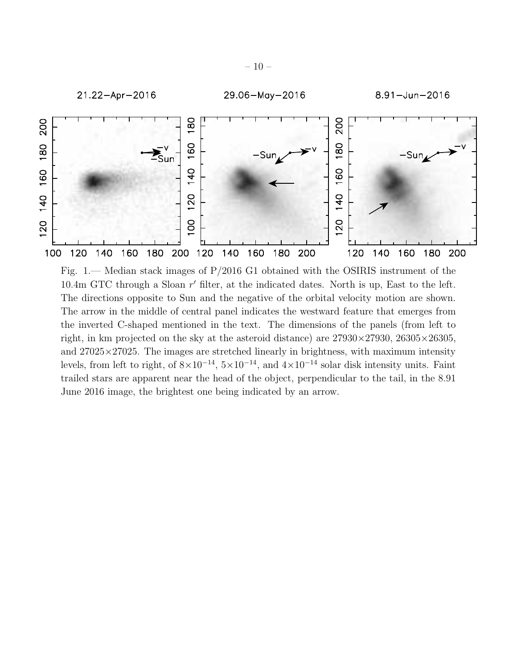

Fig. 1.— Median stack images of P/2016 G1 obtained with the OSIRIS instrument of the 10.4m GTC through a Sloan r' filter, at the indicated dates. North is up, East to the left. The directions opposite to Sun and the negative of the orbital velocity motion are shown. The arrow in the middle of central panel indicates the westward feature that emerges from the inverted C-shaped mentioned in the text. The dimensions of the panels (from left to right, in km projected on the sky at the asteroid distance) are  $27930 \times 27930$ ,  $26305 \times 26305$ , and  $27025 \times 27025$ . The images are stretched linearly in brightness, with maximum intensity levels, from left to right, of  $8\times10^{-14}$ ,  $5\times10^{-14}$ , and  $4\times10^{-14}$  solar disk intensity units. Faint trailed stars are apparent near the head of the object, perpendicular to the tail, in the 8.91 June 2016 image, the brightest one being indicated by an arrow.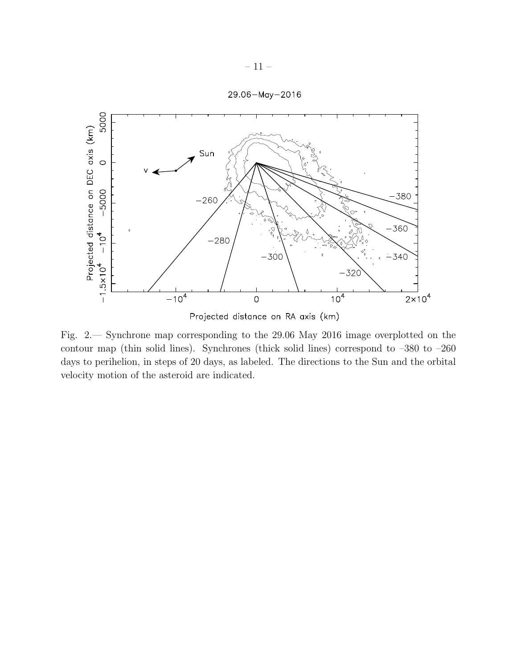



Fig. 2.— Synchrone map corresponding to the 29.06 May 2016 image overplotted on the contour map (thin solid lines). Synchrones (thick solid lines) correspond to –380 to –260 days to perihelion, in steps of 20 days, as labeled. The directions to the Sun and the orbital velocity motion of the asteroid are indicated.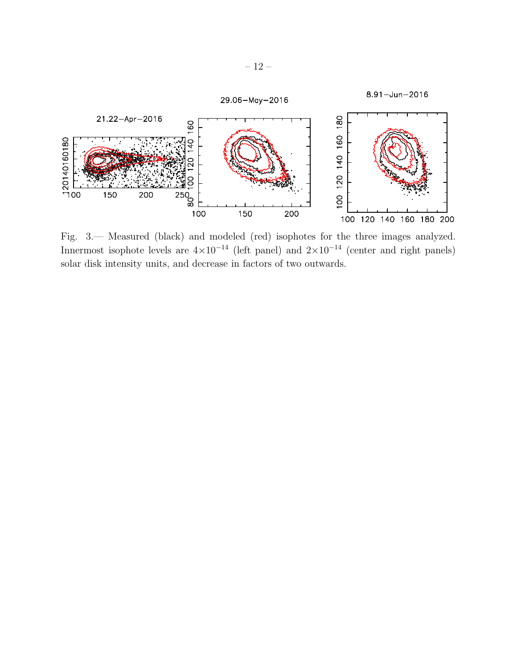

Fig. 3.— Measured (black) and modeled (red) isophotes for the three images analyzed. Innermost isophote levels are  $4\times10^{-14}$  (left panel) and  $2\times10^{-14}$  (center and right panels) solar disk intensity units, and decrease in factors of two outwards.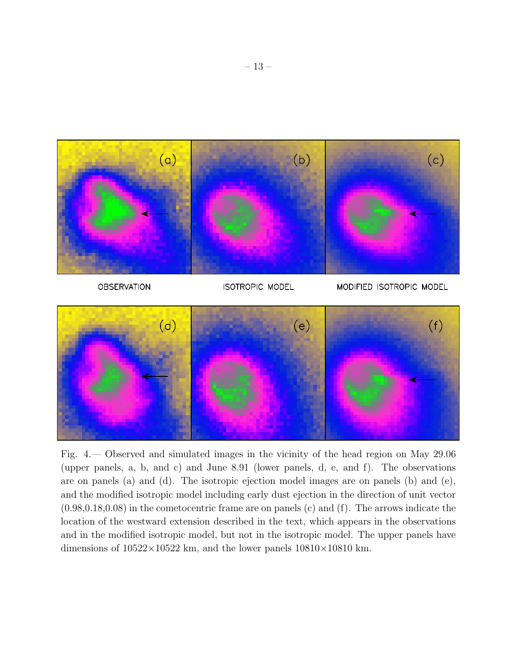

**ISOTROPIC MODEL** 

MODIFIED ISOTROPIC MODEL



Fig. 4.— Observed and simulated images in the vicinity of the head region on May 29.06 (upper panels, a, b, and c) and June 8.91 (lower panels, d, e, and f). The observations are on panels (a) and (d). The isotropic ejection model images are on panels (b) and (e), and the modified isotropic model including early dust ejection in the direction of unit vector (0.98,0.18,0.08) in the cometocentric frame are on panels (c) and (f). The arrows indicate the location of the westward extension described in the text, which appears in the observations and in the modified isotropic model, but not in the isotropic model. The upper panels have dimensions of  $10522 \times 10522$  km, and the lower panels  $10810 \times 10810$  km.